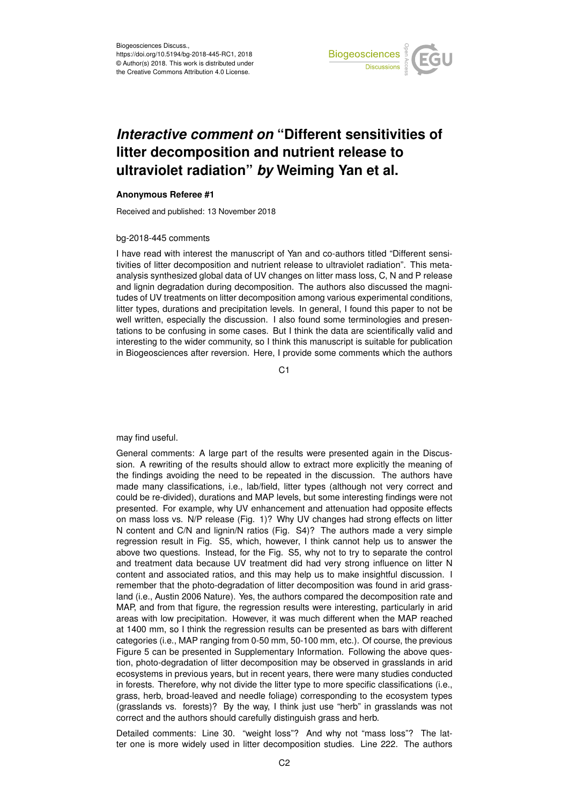

## *Interactive comment on* **"Different sensitivities of litter decomposition and nutrient release to ultraviolet radiation"** *by* **Weiming Yan et al.**

## **Anonymous Referee #1**

Received and published: 13 November 2018

## bg-2018-445 comments

I have read with interest the manuscript of Yan and co-authors titled "Different sensitivities of litter decomposition and nutrient release to ultraviolet radiation". This metaanalysis synthesized global data of UV changes on litter mass loss, C, N and P release and lignin degradation during decomposition. The authors also discussed the magnitudes of UV treatments on litter decomposition among various experimental conditions, litter types, durations and precipitation levels. In general, I found this paper to not be well written, especially the discussion. I also found some terminologies and presentations to be confusing in some cases. But I think the data are scientifically valid and interesting to the wider community, so I think this manuscript is suitable for publication in Biogeosciences after reversion. Here, I provide some comments which the authors

C1

## may find useful.

General comments: A large part of the results were presented again in the Discussion. A rewriting of the results should allow to extract more explicitly the meaning of the findings avoiding the need to be repeated in the discussion. The authors have made many classifications, i.e., lab/field, litter types (although not very correct and could be re-divided), durations and MAP levels, but some interesting findings were not presented. For example, why UV enhancement and attenuation had opposite effects on mass loss vs. N/P release (Fig. 1)? Why UV changes had strong effects on litter N content and C/N and lignin/N ratios (Fig. S4)? The authors made a very simple regression result in Fig. S5, which, however, I think cannot help us to answer the above two questions. Instead, for the Fig. S5, why not to try to separate the control and treatment data because UV treatment did had very strong influence on litter N content and associated ratios, and this may help us to make insightful discussion. I remember that the photo-degradation of litter decomposition was found in arid grassland (i.e., Austin 2006 Nature). Yes, the authors compared the decomposition rate and MAP, and from that figure, the regression results were interesting, particularly in arid areas with low precipitation. However, it was much different when the MAP reached at 1400 mm, so I think the regression results can be presented as bars with different categories (i.e., MAP ranging from 0-50 mm, 50-100 mm, etc.). Of course, the previous Figure 5 can be presented in Supplementary Information. Following the above question, photo-degradation of litter decomposition may be observed in grasslands in arid ecosystems in previous years, but in recent years, there were many studies conducted in forests. Therefore, why not divide the litter type to more specific classifications (i.e., grass, herb, broad-leaved and needle foliage) corresponding to the ecosystem types (grasslands vs. forests)? By the way, I think just use "herb" in grasslands was not correct and the authors should carefully distinguish grass and herb.

Detailed comments: Line 30. "weight loss"? And why not "mass loss"? The latter one is more widely used in litter decomposition studies. Line 222. The authors